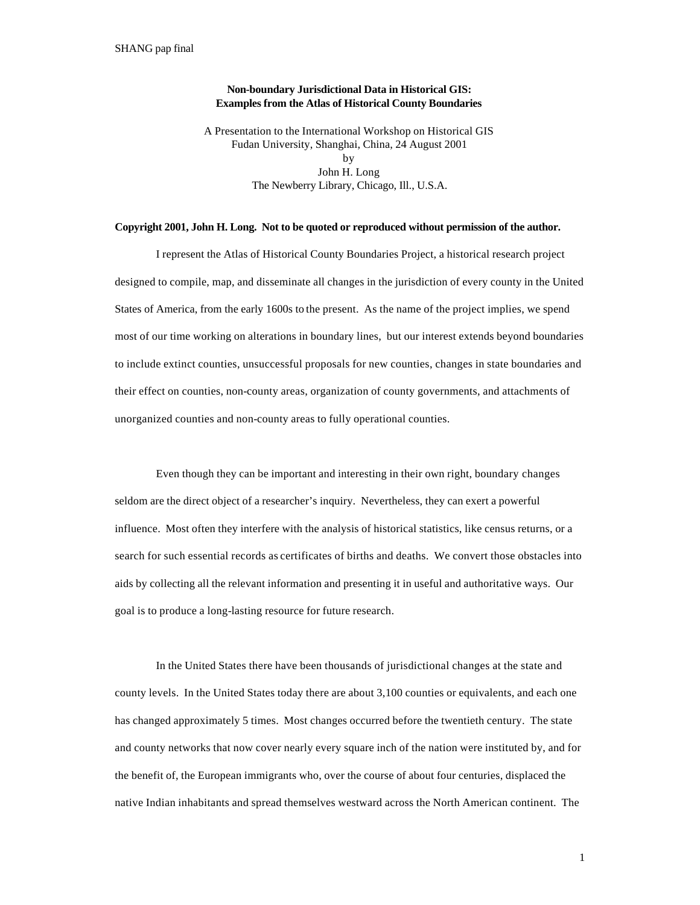## **Non-boundary Jurisdictional Data in Historical GIS: Examples from the Atlas of Historical County Boundaries**

A Presentation to the International Workshop on Historical GIS Fudan University, Shanghai, China, 24 August 2001 by John H. Long The Newberry Library, Chicago, Ill., U.S.A.

## **Copyright 2001, John H. Long. Not to be quoted or reproduced without permission of the author.**

I represent the Atlas of Historical County Boundaries Project, a historical research project designed to compile, map, and disseminate all changes in the jurisdiction of every county in the United States of America, from the early 1600s to the present. As the name of the project implies, we spend most of our time working on alterations in boundary lines, but our interest extends beyond boundaries to include extinct counties, unsuccessful proposals for new counties, changes in state boundaries and their effect on counties, non-county areas, organization of county governments, and attachments of unorganized counties and non-county areas to fully operational counties.

Even though they can be important and interesting in their own right, boundary changes seldom are the direct object of a researcher's inquiry. Nevertheless, they can exert a powerful influence. Most often they interfere with the analysis of historical statistics, like census returns, or a search for such essential records as certificates of births and deaths. We convert those obstacles into aids by collecting all the relevant information and presenting it in useful and authoritative ways. Our goal is to produce a long-lasting resource for future research.

In the United States there have been thousands of jurisdictional changes at the state and county levels. In the United States today there are about 3,100 counties or equivalents, and each one has changed approximately 5 times. Most changes occurred before the twentieth century. The state and county networks that now cover nearly every square inch of the nation were instituted by, and for the benefit of, the European immigrants who, over the course of about four centuries, displaced the native Indian inhabitants and spread themselves westward across the North American continent. The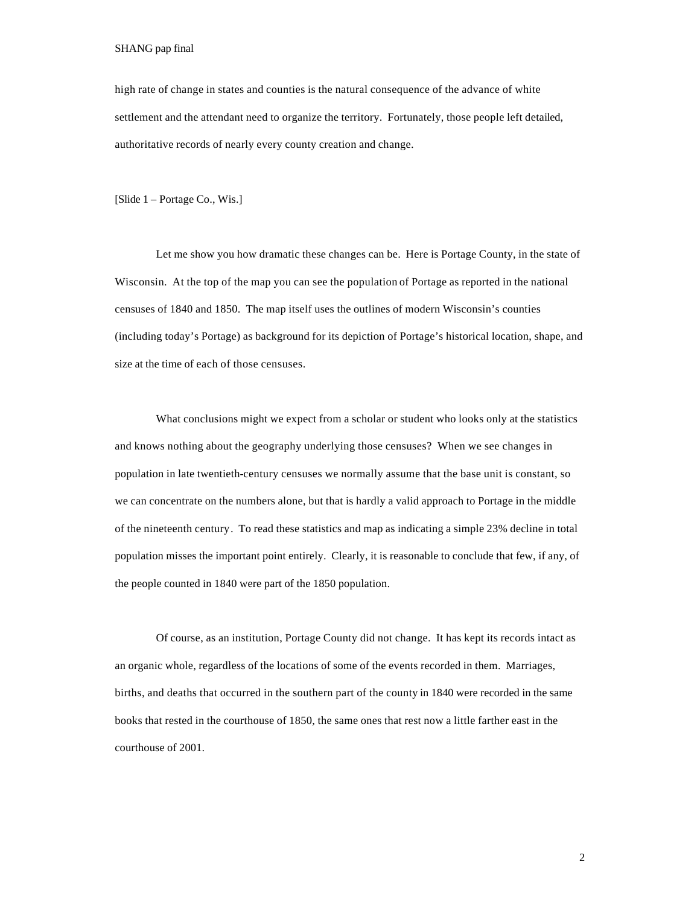high rate of change in states and counties is the natural consequence of the advance of white settlement and the attendant need to organize the territory. Fortunately, those people left detailed, authoritative records of nearly every county creation and change.

[Slide 1 – Portage Co., Wis.]

Let me show you how dramatic these changes can be. Here is Portage County, in the state of Wisconsin. At the top of the map you can see the population of Portage as reported in the national censuses of 1840 and 1850. The map itself uses the outlines of modern Wisconsin's counties (including today's Portage) as background for its depiction of Portage's historical location, shape, and size at the time of each of those censuses.

What conclusions might we expect from a scholar or student who looks only at the statistics and knows nothing about the geography underlying those censuses? When we see changes in population in late twentieth-century censuses we normally assume that the base unit is constant, so we can concentrate on the numbers alone, but that is hardly a valid approach to Portage in the middle of the nineteenth century. To read these statistics and map as indicating a simple 23% decline in total population misses the important point entirely. Clearly, it is reasonable to conclude that few, if any, of the people counted in 1840 were part of the 1850 population.

Of course, as an institution, Portage County did not change. It has kept its records intact as an organic whole, regardless of the locations of some of the events recorded in them. Marriages, births, and deaths that occurred in the southern part of the county in 1840 were recorded in the same books that rested in the courthouse of 1850, the same ones that rest now a little farther east in the courthouse of 2001.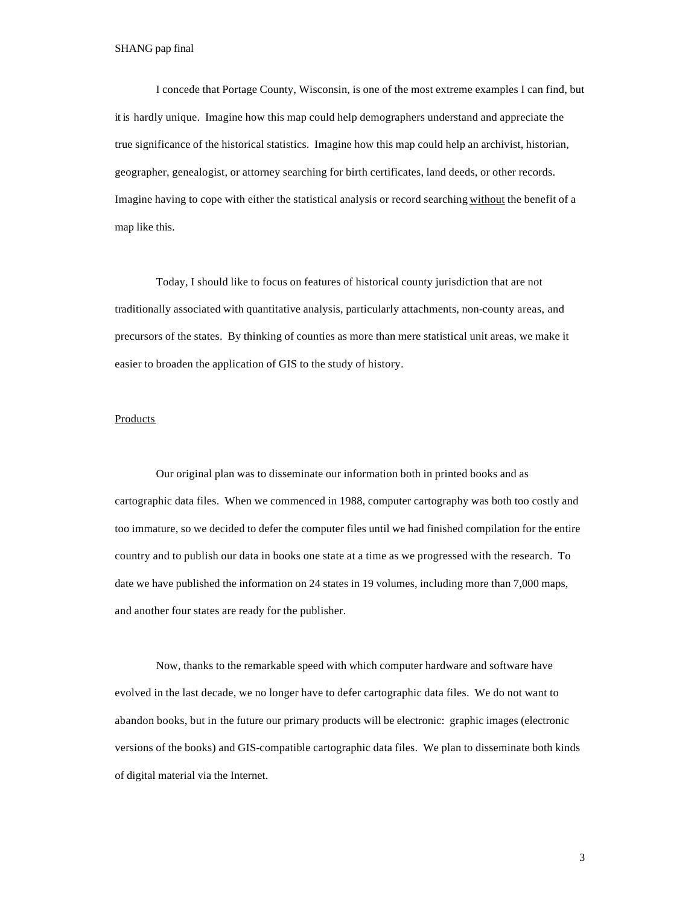I concede that Portage County, Wisconsin, is one of the most extreme examples I can find, but it is hardly unique. Imagine how this map could help demographers understand and appreciate the true significance of the historical statistics. Imagine how this map could help an archivist, historian, geographer, genealogist, or attorney searching for birth certificates, land deeds, or other records. Imagine having to cope with either the statistical analysis or record searching without the benefit of a map like this.

Today, I should like to focus on features of historical county jurisdiction that are not traditionally associated with quantitative analysis, particularly attachments, non-county areas, and precursors of the states. By thinking of counties as more than mere statistical unit areas, we make it easier to broaden the application of GIS to the study of history.

### Products

Our original plan was to disseminate our information both in printed books and as cartographic data files. When we commenced in 1988, computer cartography was both too costly and too immature, so we decided to defer the computer files until we had finished compilation for the entire country and to publish our data in books one state at a time as we progressed with the research. To date we have published the information on 24 states in 19 volumes, including more than 7,000 maps, and another four states are ready for the publisher.

Now, thanks to the remarkable speed with which computer hardware and software have evolved in the last decade, we no longer have to defer cartographic data files. We do not want to abandon books, but in the future our primary products will be electronic: graphic images (electronic versions of the books) and GIS-compatible cartographic data files. We plan to disseminate both kinds of digital material via the Internet.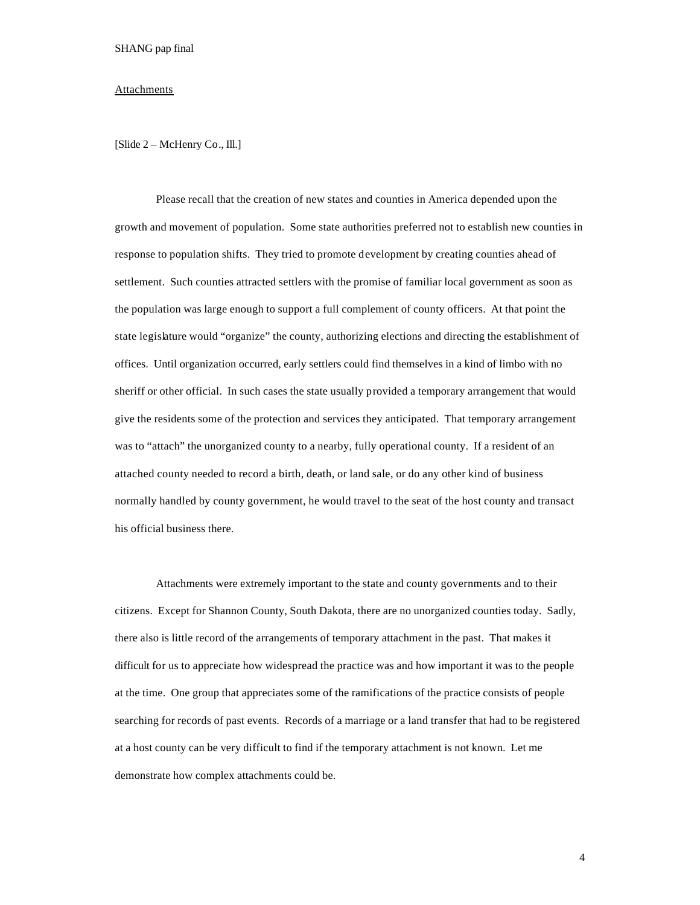#### Attachments

[Slide 2 – McHenry Co., Ill.]

Please recall that the creation of new states and counties in America depended upon the growth and movement of population. Some state authorities preferred not to establish new counties in response to population shifts. They tried to promote development by creating counties ahead of settlement. Such counties attracted settlers with the promise of familiar local government as soon as the population was large enough to support a full complement of county officers. At that point the state legislature would "organize" the county, authorizing elections and directing the establishment of offices. Until organization occurred, early settlers could find themselves in a kind of limbo with no sheriff or other official. In such cases the state usually provided a temporary arrangement that would give the residents some of the protection and services they anticipated. That temporary arrangement was to "attach" the unorganized county to a nearby, fully operational county. If a resident of an attached county needed to record a birth, death, or land sale, or do any other kind of business normally handled by county government, he would travel to the seat of the host county and transact his official business there.

Attachments were extremely important to the state and county governments and to their citizens. Except for Shannon County, South Dakota, there are no unorganized counties today. Sadly, there also is little record of the arrangements of temporary attachment in the past. That makes it difficult for us to appreciate how widespread the practice was and how important it was to the people at the time. One group that appreciates some of the ramifications of the practice consists of people searching for records of past events. Records of a marriage or a land transfer that had to be registered at a host county can be very difficult to find if the temporary attachment is not known. Let me demonstrate how complex attachments could be.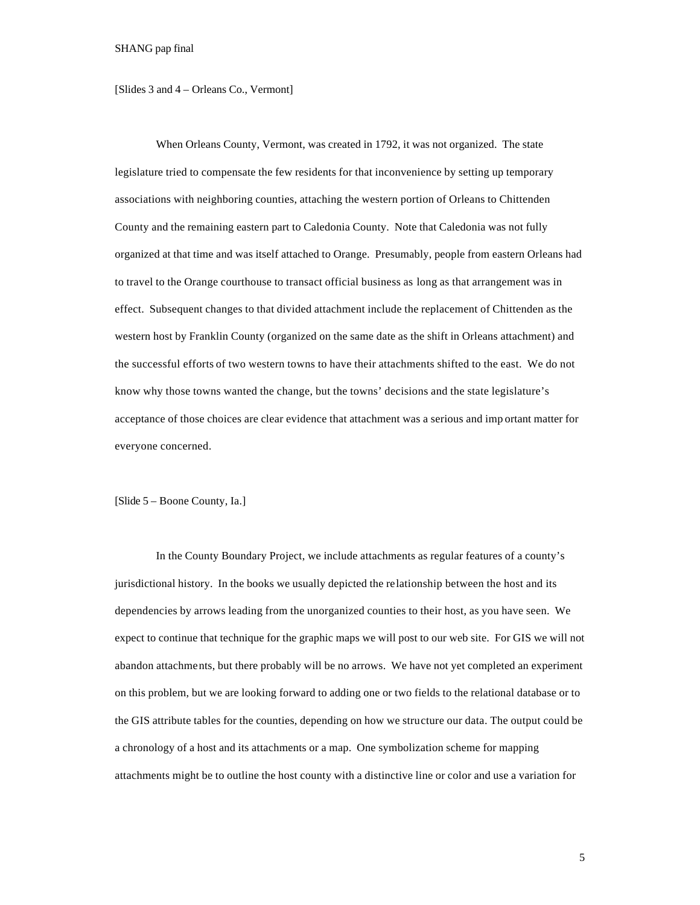[Slides 3 and 4 – Orleans Co., Vermont]

When Orleans County, Vermont, was created in 1792, it was not organized. The state legislature tried to compensate the few residents for that inconvenience by setting up temporary associations with neighboring counties, attaching the western portion of Orleans to Chittenden County and the remaining eastern part to Caledonia County. Note that Caledonia was not fully organized at that time and was itself attached to Orange. Presumably, people from eastern Orleans had to travel to the Orange courthouse to transact official business as long as that arrangement was in effect. Subsequent changes to that divided attachment include the replacement of Chittenden as the western host by Franklin County (organized on the same date as the shift in Orleans attachment) and the successful efforts of two western towns to have their attachments shifted to the east. We do not know why those towns wanted the change, but the towns' decisions and the state legislature's acceptance of those choices are clear evidence that attachment was a serious and imp ortant matter for everyone concerned.

[Slide 5 – Boone County, Ia.]

In the County Boundary Project, we include attachments as regular features of a county's jurisdictional history. In the books we usually depicted the relationship between the host and its dependencies by arrows leading from the unorganized counties to their host, as you have seen. We expect to continue that technique for the graphic maps we will post to our web site. For GIS we will not abandon attachments, but there probably will be no arrows. We have not yet completed an experiment on this problem, but we are looking forward to adding one or two fields to the relational database or to the GIS attribute tables for the counties, depending on how we structure our data. The output could be a chronology of a host and its attachments or a map. One symbolization scheme for mapping attachments might be to outline the host county with a distinctive line or color and use a variation for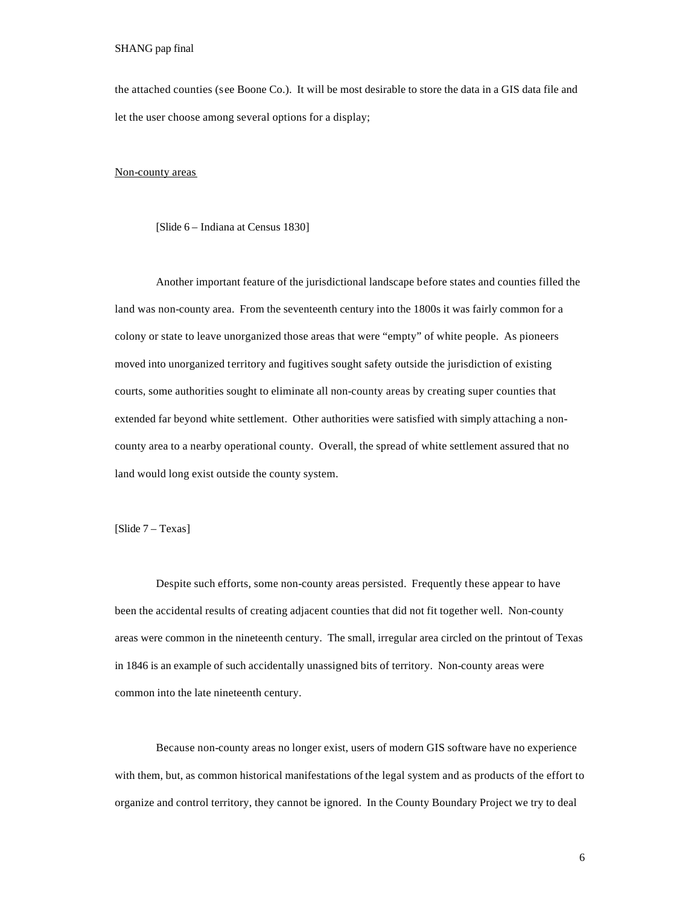the attached counties (see Boone Co.). It will be most desirable to store the data in a GIS data file and let the user choose among several options for a display;

### Non-county areas

[Slide 6 – Indiana at Census 1830]

Another important feature of the jurisdictional landscape before states and counties filled the land was non-county area. From the seventeenth century into the 1800s it was fairly common for a colony or state to leave unorganized those areas that were "empty" of white people. As pioneers moved into unorganized territory and fugitives sought safety outside the jurisdiction of existing courts, some authorities sought to eliminate all non-county areas by creating super counties that extended far beyond white settlement. Other authorities were satisfied with simply attaching a noncounty area to a nearby operational county. Overall, the spread of white settlement assured that no land would long exist outside the county system.

[Slide 7 – Texas]

Despite such efforts, some non-county areas persisted. Frequently these appear to have been the accidental results of creating adjacent counties that did not fit together well. Non-county areas were common in the nineteenth century. The small, irregular area circled on the printout of Texas in 1846 is an example of such accidentally unassigned bits of territory. Non-county areas were common into the late nineteenth century.

Because non-county areas no longer exist, users of modern GIS software have no experience with them, but, as common historical manifestations of the legal system and as products of the effort to organize and control territory, they cannot be ignored. In the County Boundary Project we try to deal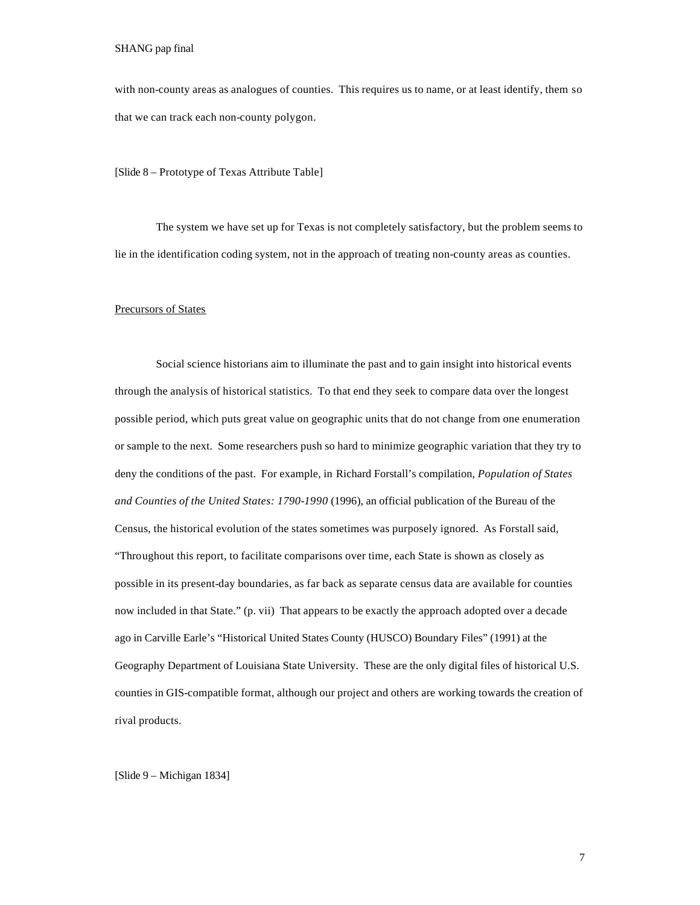with non-county areas as analogues of counties. This requires us to name, or at least identify, them so that we can track each non-county polygon.

[Slide 8 – Prototype of Texas Attribute Table]

The system we have set up for Texas is not completely satisfactory, but the problem seems to lie in the identification coding system, not in the approach of treating non-county areas as counties.

# Precursors of States

Social science historians aim to illuminate the past and to gain insight into historical events through the analysis of historical statistics. To that end they seek to compare data over the longest possible period, which puts great value on geographic units that do not change from one enumeration or sample to the next. Some researchers push so hard to minimize geographic variation that they try to deny the conditions of the past. For example, in Richard Forstall's compilation*, Population of States and Counties of the United States: 1790-1990* (1996), an official publication of the Bureau of the Census, the historical evolution of the states sometimes was purposely ignored. As Forstall said, "Throughout this report, to facilitate comparisons over time, each State is shown as closely as possible in its present-day boundaries, as far back as separate census data are available for counties now included in that State." (p. vii) That appears to be exactly the approach adopted over a decade ago in Carville Earle's "Historical United States County (HUSCO) Boundary Files" (1991) at the Geography Department of Louisiana State University. These are the only digital files of historical U.S. counties in GIS-compatible format, although our project and others are working towards the creation of rival products.

[Slide 9 – Michigan 1834]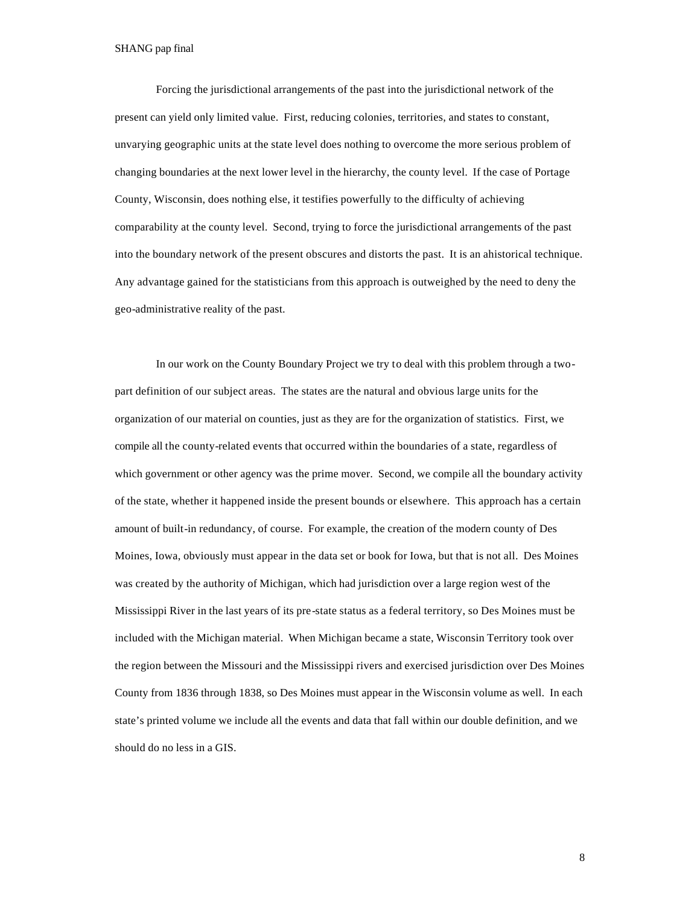Forcing the jurisdictional arrangements of the past into the jurisdictional network of the present can yield only limited value. First, reducing colonies, territories, and states to constant, unvarying geographic units at the state level does nothing to overcome the more serious problem of changing boundaries at the next lower level in the hierarchy, the county level. If the case of Portage County, Wisconsin, does nothing else, it testifies powerfully to the difficulty of achieving comparability at the county level. Second, trying to force the jurisdictional arrangements of the past into the boundary network of the present obscures and distorts the past. It is an ahistorical technique. Any advantage gained for the statisticians from this approach is outweighed by the need to deny the geo-administrative reality of the past.

In our work on the County Boundary Project we try to deal with this problem through a twopart definition of our subject areas. The states are the natural and obvious large units for the organization of our material on counties, just as they are for the organization of statistics. First, we compile all the county-related events that occurred within the boundaries of a state, regardless of which government or other agency was the prime mover. Second, we compile all the boundary activity of the state, whether it happened inside the present bounds or elsewhere. This approach has a certain amount of built-in redundancy, of course. For example, the creation of the modern county of Des Moines, Iowa, obviously must appear in the data set or book for Iowa, but that is not all. Des Moines was created by the authority of Michigan, which had jurisdiction over a large region west of the Mississippi River in the last years of its pre-state status as a federal territory, so Des Moines must be included with the Michigan material. When Michigan became a state, Wisconsin Territory took over the region between the Missouri and the Mississippi rivers and exercised jurisdiction over Des Moines County from 1836 through 1838, so Des Moines must appear in the Wisconsin volume as well. In each state's printed volume we include all the events and data that fall within our double definition, and we should do no less in a GIS.

8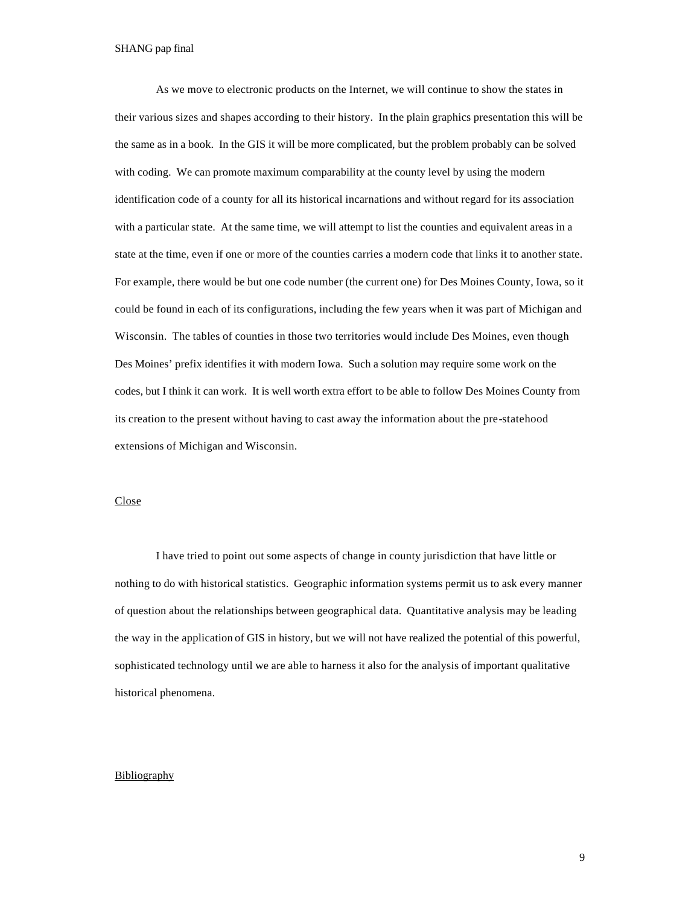As we move to electronic products on the Internet, we will continue to show the states in their various sizes and shapes according to their history. In the plain graphics presentation this will be the same as in a book. In the GIS it will be more complicated, but the problem probably can be solved with coding. We can promote maximum comparability at the county level by using the modern identification code of a county for all its historical incarnations and without regard for its association with a particular state. At the same time, we will attempt to list the counties and equivalent areas in a state at the time, even if one or more of the counties carries a modern code that links it to another state. For example, there would be but one code number (the current one) for Des Moines County, Iowa, so it could be found in each of its configurations, including the few years when it was part of Michigan and Wisconsin. The tables of counties in those two territories would include Des Moines, even though Des Moines' prefix identifies it with modern Iowa. Such a solution may require some work on the codes, but I think it can work. It is well worth extra effort to be able to follow Des Moines County from its creation to the present without having to cast away the information about the pre-statehood extensions of Michigan and Wisconsin.

## Close

I have tried to point out some aspects of change in county jurisdiction that have little or nothing to do with historical statistics. Geographic information systems permit us to ask every manner of question about the relationships between geographical data. Quantitative analysis may be leading the way in the application of GIS in history, but we will not have realized the potential of this powerful, sophisticated technology until we are able to harness it also for the analysis of important qualitative historical phenomena.

### Bibliography